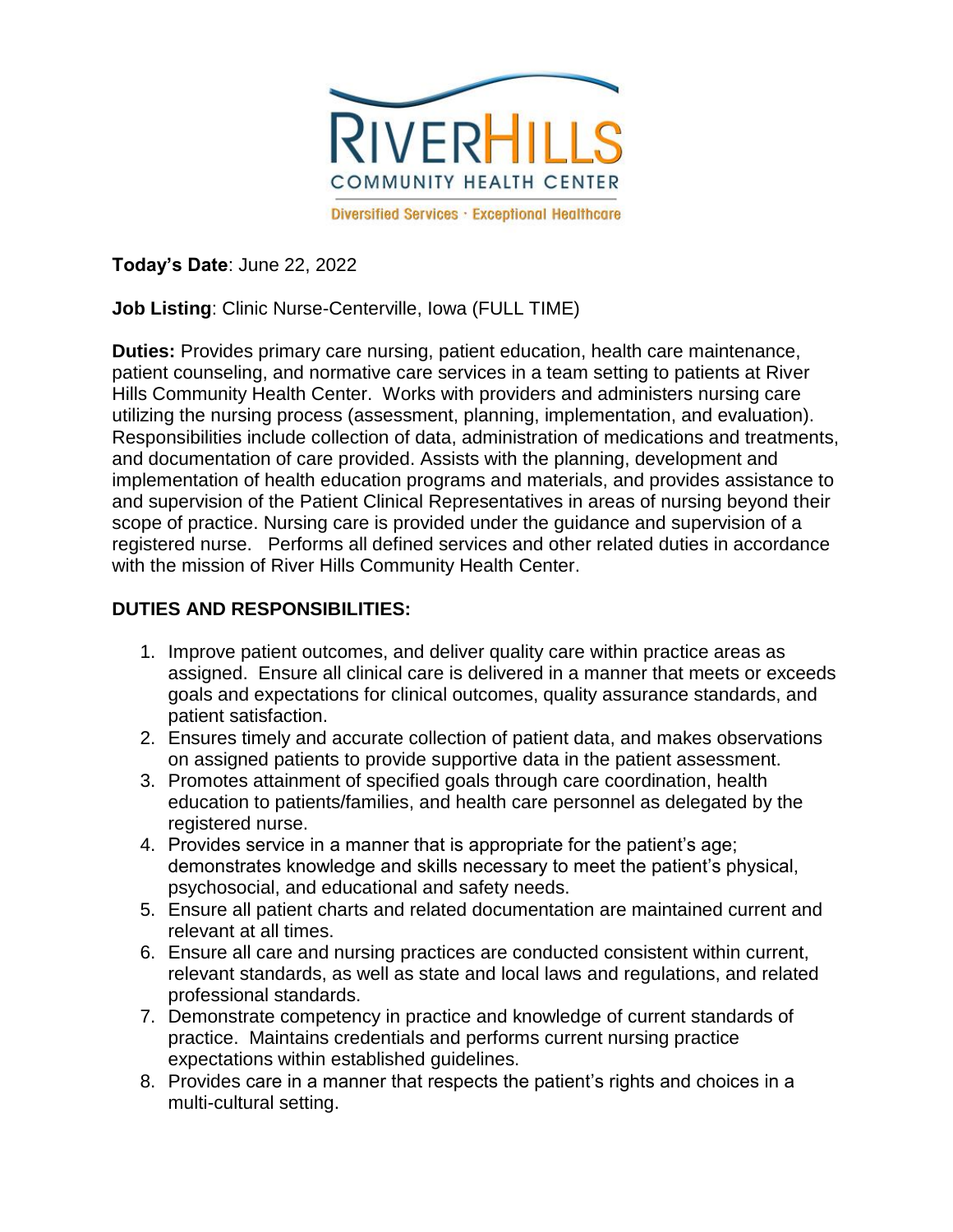

**Today's Date**: June 22, 2022

**Job Listing**: Clinic Nurse-Centerville, Iowa (FULL TIME)

**Duties:** Provides primary care nursing, patient education, health care maintenance, patient counseling, and normative care services in a team setting to patients at River Hills Community Health Center. Works with providers and administers nursing care utilizing the nursing process (assessment, planning, implementation, and evaluation). Responsibilities include collection of data, administration of medications and treatments, and documentation of care provided. Assists with the planning, development and implementation of health education programs and materials, and provides assistance to and supervision of the Patient Clinical Representatives in areas of nursing beyond their scope of practice. Nursing care is provided under the guidance and supervision of a registered nurse. Performs all defined services and other related duties in accordance with the mission of River Hills Community Health Center.

## **DUTIES AND RESPONSIBILITIES:**

- 1. Improve patient outcomes, and deliver quality care within practice areas as assigned. Ensure all clinical care is delivered in a manner that meets or exceeds goals and expectations for clinical outcomes, quality assurance standards, and patient satisfaction.
- 2. Ensures timely and accurate collection of patient data, and makes observations on assigned patients to provide supportive data in the patient assessment.
- 3. Promotes attainment of specified goals through care coordination, health education to patients/families, and health care personnel as delegated by the registered nurse.
- 4. Provides service in a manner that is appropriate for the patient's age; demonstrates knowledge and skills necessary to meet the patient's physical, psychosocial, and educational and safety needs.
- 5. Ensure all patient charts and related documentation are maintained current and relevant at all times.
- 6. Ensure all care and nursing practices are conducted consistent within current, relevant standards, as well as state and local laws and regulations, and related professional standards.
- 7. Demonstrate competency in practice and knowledge of current standards of practice. Maintains credentials and performs current nursing practice expectations within established guidelines.
- 8. Provides care in a manner that respects the patient's rights and choices in a multi-cultural setting.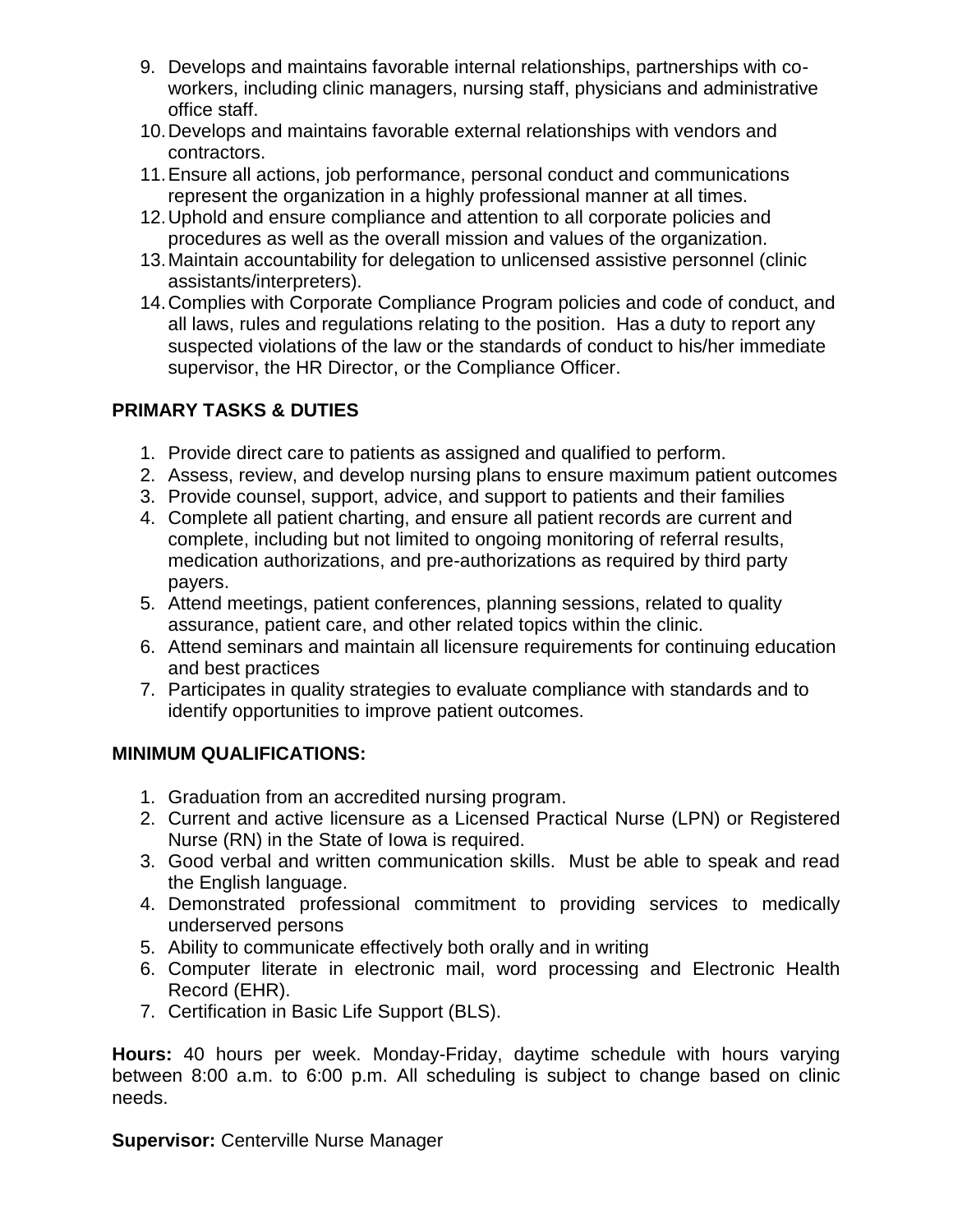- 9. Develops and maintains favorable internal relationships, partnerships with coworkers, including clinic managers, nursing staff, physicians and administrative office staff.
- 10.Develops and maintains favorable external relationships with vendors and contractors.
- 11.Ensure all actions, job performance, personal conduct and communications represent the organization in a highly professional manner at all times.
- 12.Uphold and ensure compliance and attention to all corporate policies and procedures as well as the overall mission and values of the organization.
- 13.Maintain accountability for delegation to unlicensed assistive personnel (clinic assistants/interpreters).
- 14.Complies with Corporate Compliance Program policies and code of conduct, and all laws, rules and regulations relating to the position. Has a duty to report any suspected violations of the law or the standards of conduct to his/her immediate supervisor, the HR Director, or the Compliance Officer.

## **PRIMARY TASKS & DUTIES**

- 1. Provide direct care to patients as assigned and qualified to perform.
- 2. Assess, review, and develop nursing plans to ensure maximum patient outcomes
- 3. Provide counsel, support, advice, and support to patients and their families
- 4. Complete all patient charting, and ensure all patient records are current and complete, including but not limited to ongoing monitoring of referral results, medication authorizations, and pre-authorizations as required by third party payers.
- 5. Attend meetings, patient conferences, planning sessions, related to quality assurance, patient care, and other related topics within the clinic.
- 6. Attend seminars and maintain all licensure requirements for continuing education and best practices
- 7. Participates in quality strategies to evaluate compliance with standards and to identify opportunities to improve patient outcomes.

## **MINIMUM QUALIFICATIONS:**

- 1. Graduation from an accredited nursing program.
- 2. Current and active licensure as a Licensed Practical Nurse (LPN) or Registered Nurse (RN) in the State of Iowa is required.
- 3. Good verbal and written communication skills. Must be able to speak and read the English language.
- 4. Demonstrated professional commitment to providing services to medically underserved persons
- 5. Ability to communicate effectively both orally and in writing
- 6. Computer literate in electronic mail, word processing and Electronic Health Record (EHR).
- 7. Certification in Basic Life Support (BLS).

**Hours:** 40 hours per week. Monday-Friday, daytime schedule with hours varying between 8:00 a.m. to 6:00 p.m. All scheduling is subject to change based on clinic needs.

**Supervisor: Centerville Nurse Manager**